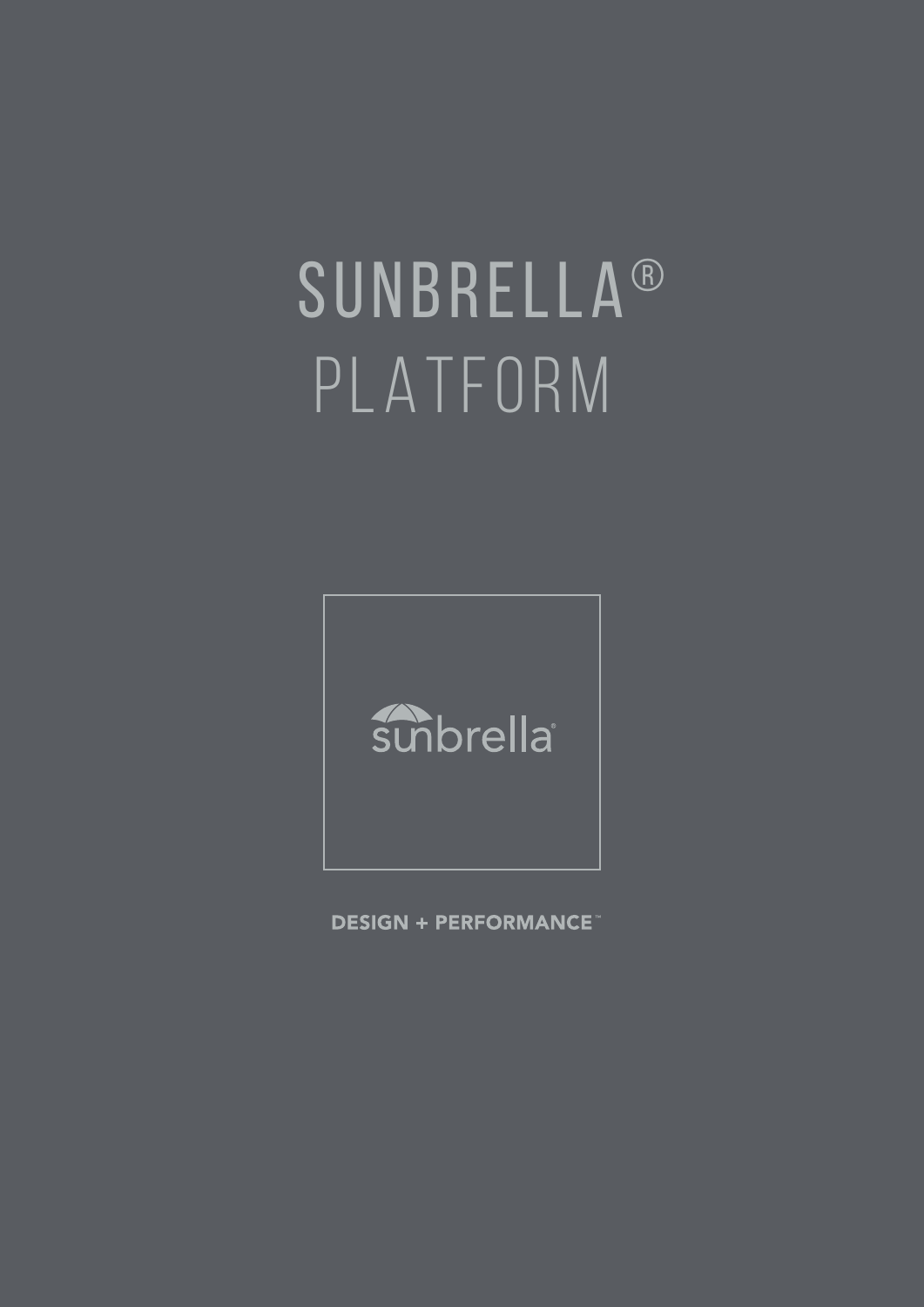# SUNBRELLA ® PLATFORM



**DESIGN + PERFORMANCE**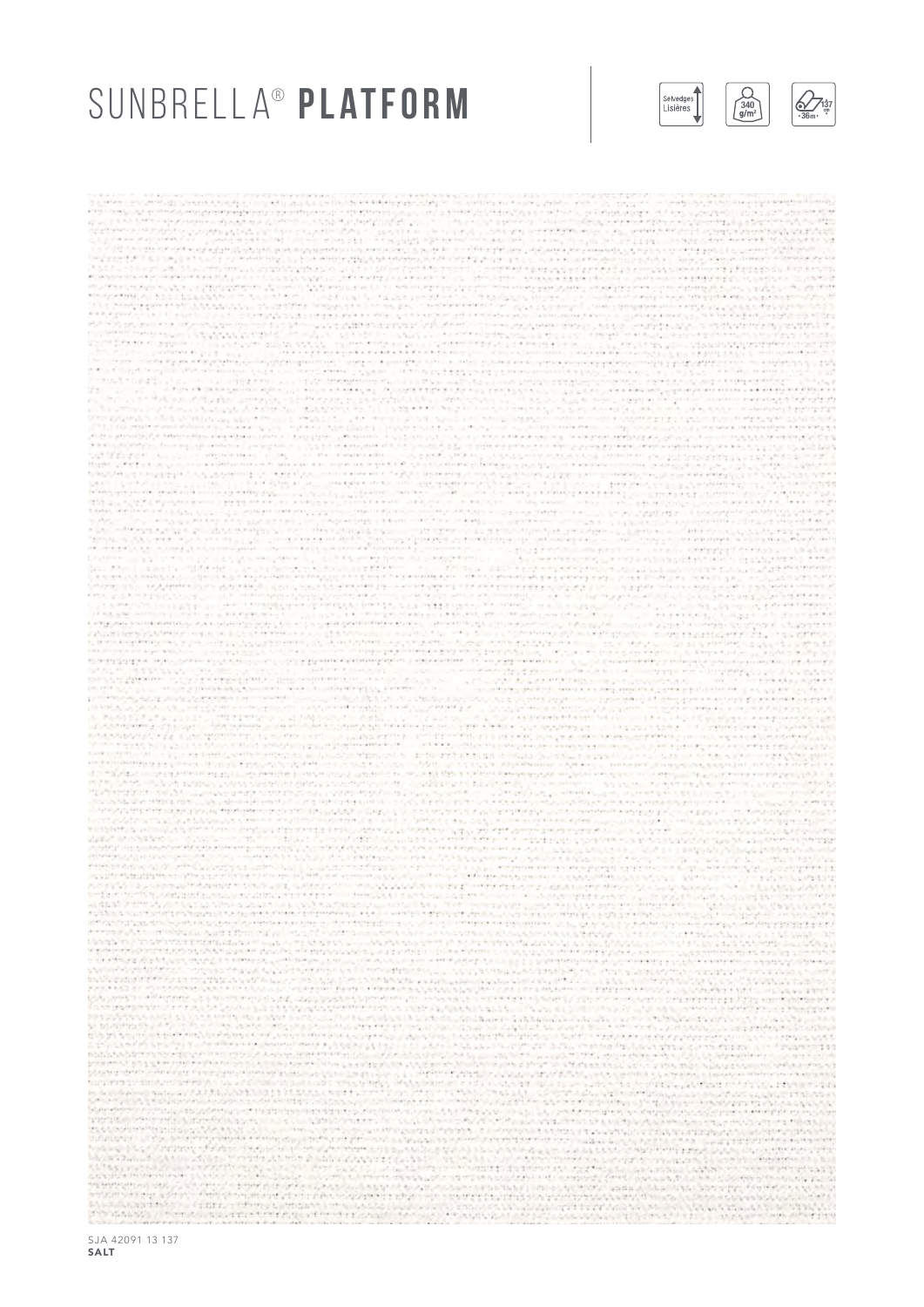### SUNBRELLA<sup>®</sup> PLATFORM

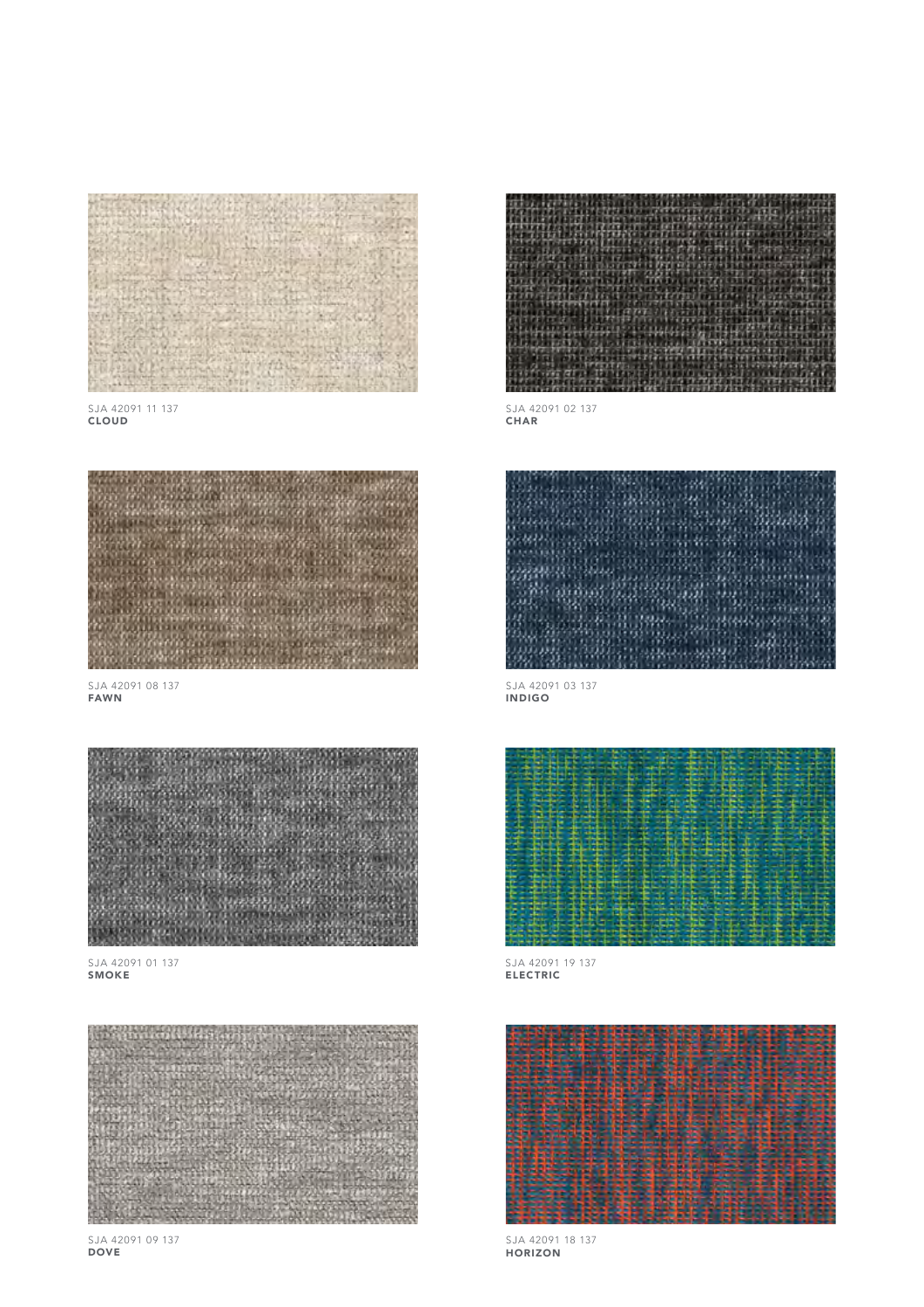

SJA 42091 11 137 CLOUD



SJA 42091 08 137 FAWN



SJA 42091 01 137 SMOKE



SJA 42091 09 137 DOVE



SJA 42091 02 137 CHAR



SJA 42091 03 137 INDIGO



SJA 42091 19 137 ELECTRIC



SJA 42091 18 137 HORIZON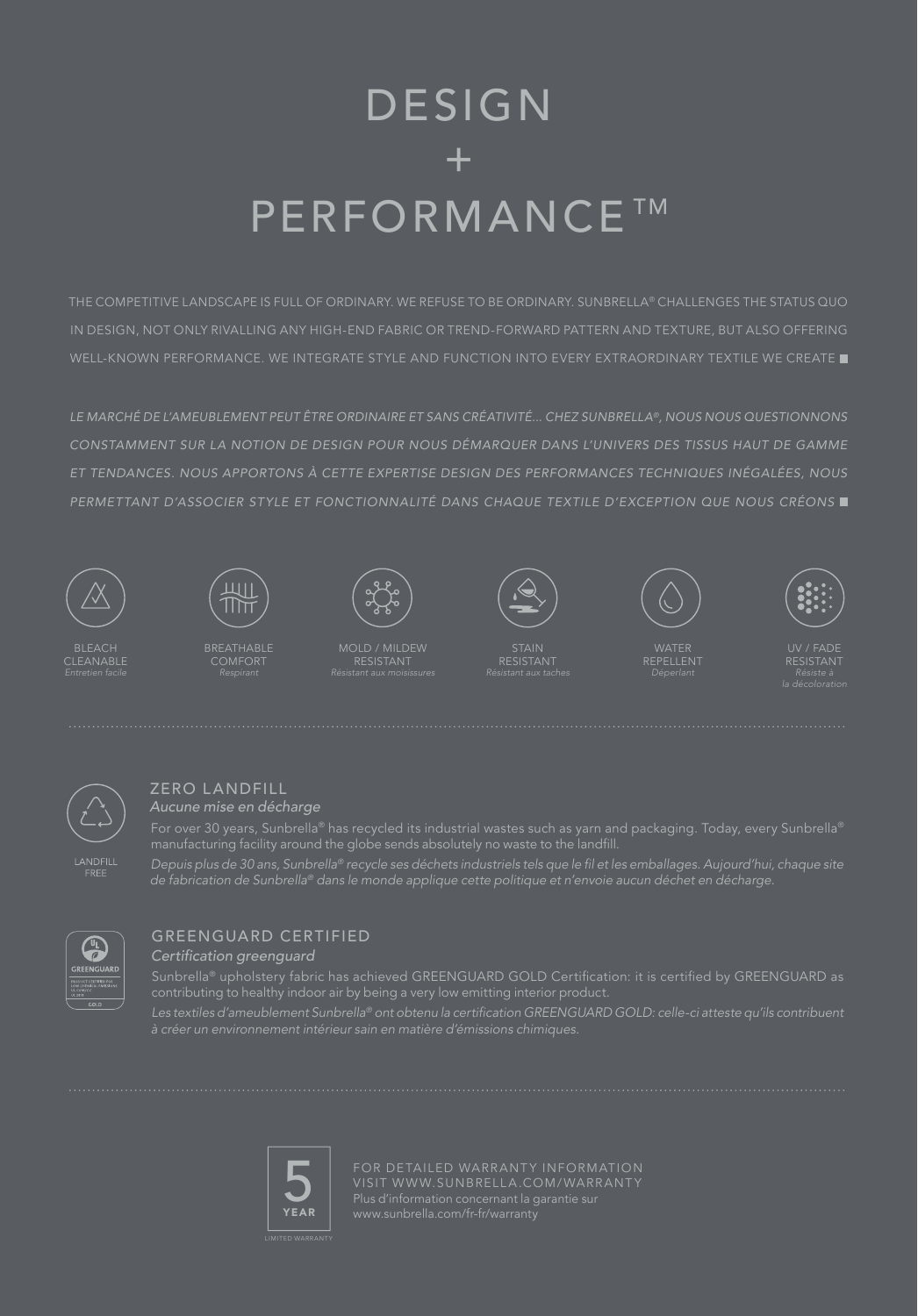# DESIGN + **PERFORMANCE TM**

THE COMPETITIVE LANDSCAPE IS FULL OF ORDINARY. WE REFUSE TO BE ORDINARY. SUNBRELLA® CHALLENGES THE STATUS QUO IN DESIGN, NOT ONLY RIVALLING ANY HIGH-END FABRIC OR TREND-FORWARD PATTERN AND TEXTURE, BUT ALSO OFFERING WELL-KNOWN PERFORMANCE. WE INTEGRATE STYLE AND FUNCTION INTO EVERY EXTRAORDINARY TEXTILE WE CREATE

*LE MARCHÉ DE L'AMEUBLEMENT PEUT ÊTRE ORDINAIRE ET SANS CRÉATIVITÉ... CHEZ SUNBRELLA®, NOUS NOUS QUESTIONNONS CONSTAMMENT SUR LA NOTION DE DESIGN POUR NOUS DÉMARQUER DANS L'UNIVERS DES TISSUS HAUT DE GAMME ET TENDANCES. NOUS APPORTONS À CETTE EXPERTISE DESIGN DES PERFORMANCES TECHNIQUES INÉGALÉES, NOUS PERMETTANT D'ASSOCIER STYLE ET FONCTIONNALITÉ DANS CHAQUE TEXTILE D'EXCEPTION QUE NOUS CRÉONS* 



BLEACH



BREATHABLE





WATER



*la décoloration*





LANDFILL<br>FREE

#### ZERO LANDFILL

*Aucune mise en décharge*

*Depuis plus de 30 ans, Sunbrella®* recycle ses déchets industriels tels que le fil et les emballages. Aujourd'hui, chaque site de fabrication de Sunbrella*®* dans le monde applique cette politique et n'envoie aucun déchet en décharge.



#### GREENGUARD CERTIFIED

Certification greenguard



FOR DETAILED WARRANTY INFORMATION VISIT WWW.SUNBRELLA.COM/WARRANTY Plus d'information concernant la garantie sur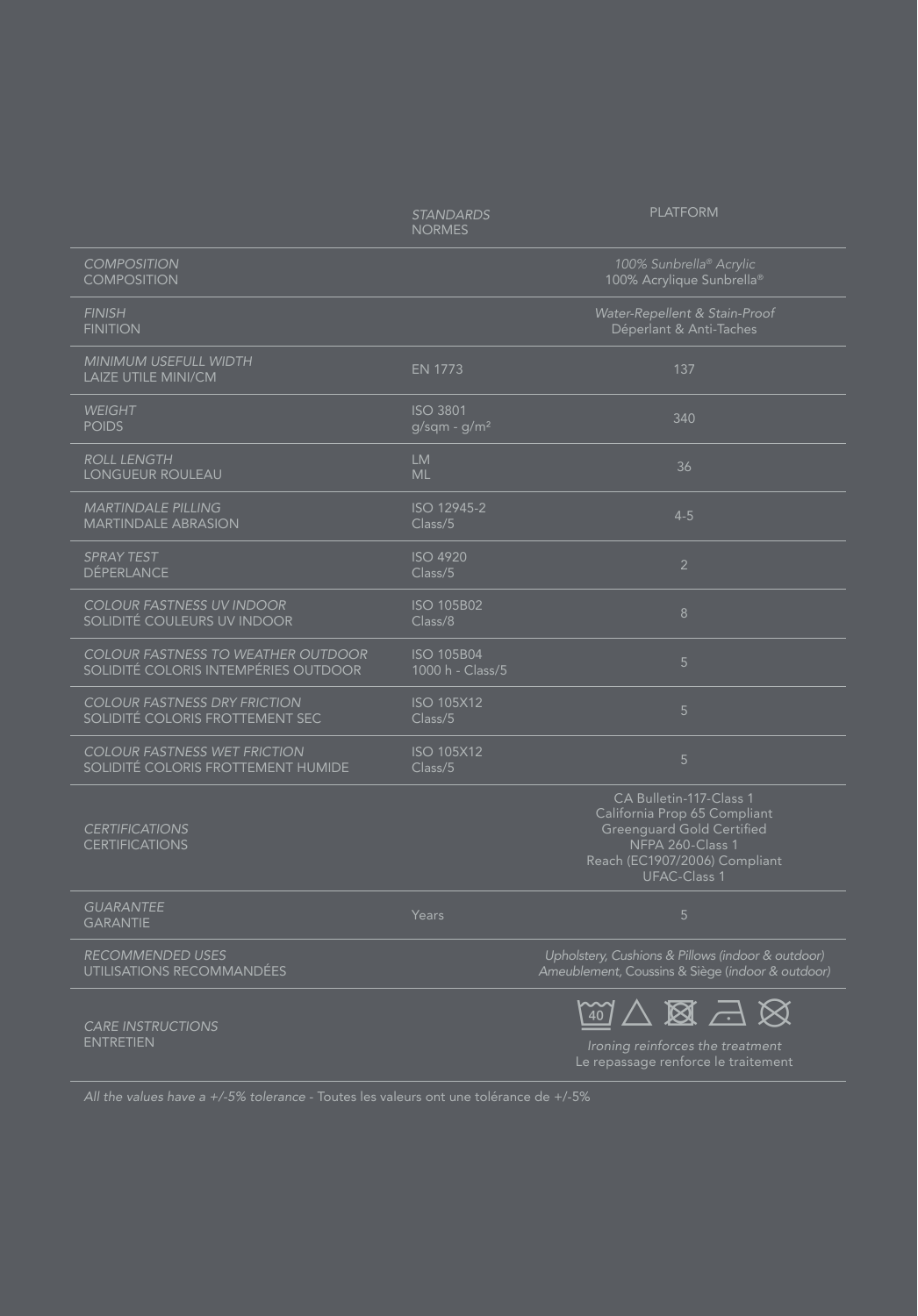|                                                                                   | <b>STANDARDS</b><br><b>NORMES</b>     | <b>PLATFORM</b>                                                                                                                                                         |
|-----------------------------------------------------------------------------------|---------------------------------------|-------------------------------------------------------------------------------------------------------------------------------------------------------------------------|
| <b>COMPOSITION</b><br><b>COMPOSITION</b>                                          |                                       | 100% Sunbrella® Acrylic<br>100% Acrylique Sunbrella®                                                                                                                    |
| <b>FINISH</b><br><b>FINITION</b>                                                  |                                       | Water-Repellent & Stain-Proof<br>Déperlant & Anti-Taches                                                                                                                |
| MINIMUM USEFULL WIDTH<br>LAIZE UTILE MINI/CM                                      | <b>EN 1773</b>                        | 137                                                                                                                                                                     |
| <b>WEIGHT</b><br><b>POIDS</b>                                                     | <b>ISO 3801</b><br>$g/sqm - g/m2$     | 340                                                                                                                                                                     |
| <b>ROLL LENGTH</b><br>LONGUEUR ROULEAU                                            | <b>LM</b><br><b>ML</b>                | 36                                                                                                                                                                      |
| <b>MARTINDALE PILLING</b><br><b>MARTINDALE ABRASION</b>                           | ISO 12945-2<br>Class/5                | $4 - 5$                                                                                                                                                                 |
| <b>SPRAY TEST</b><br><b>DÉPERLANCE</b>                                            | <b>ISO 4920</b><br>Class/5            | $\overline{2}$                                                                                                                                                          |
| <b>COLOUR FASTNESS UV INDOOR</b><br>SOLIDITÉ COULEURS UV INDOOR                   | <b>ISO 105B02</b><br>Class/8          | 8                                                                                                                                                                       |
| <b>COLOUR FASTNESS TO WEATHER OUTDOOR</b><br>SOLIDITÉ COLORIS INTEMPÉRIES OUTDOOR | <b>ISO 105B04</b><br>1000 h - Class/5 | 5                                                                                                                                                                       |
| <b>COLOUR FASTNESS DRY FRICTION</b><br>SOLIDITÉ COLORIS FROTTEMENT SEC            | <b>ISO 105X12</b><br>Class/5          | 5                                                                                                                                                                       |
| <b>COLOUR FASTNESS WET FRICTION</b><br>SOLIDITÉ COLORIS FROTTEMENT HUMIDE         | <b>ISO 105X12</b><br>Class/5          | 5                                                                                                                                                                       |
| <b>CERTIFICATIONS</b><br><b>CERTIFICATIONS</b>                                    |                                       | CA Bulletin-117-Class 1<br>California Prop 65 Compliant<br><b>Greenquard Gold Certified</b><br>NFPA 260-Class 1<br>Reach (EC1907/2006) Compliant<br><b>UFAC-Class 1</b> |
| <b>GUARANTEE</b><br><b>GARANTIE</b>                                               | Years                                 | 5                                                                                                                                                                       |
| <b>RECOMMENDED USES</b><br>UTILISATIONS RECOMMANDÉES                              |                                       | Upholstery, Cushions & Pillows (indoor & outdoor)<br>Ameublement, Coussins & Siège (indoor & outdoor)                                                                   |
| <b>CARE INSTRUCTIONS</b><br><b>ENTRETIEN</b>                                      |                                       | $\mathbb{Z} \boxtimes \mathbb{Z} \boxtimes \mathbb{Z}$<br>Ironing reinforces the treatment<br>Le repassage renforce le traitement                                       |